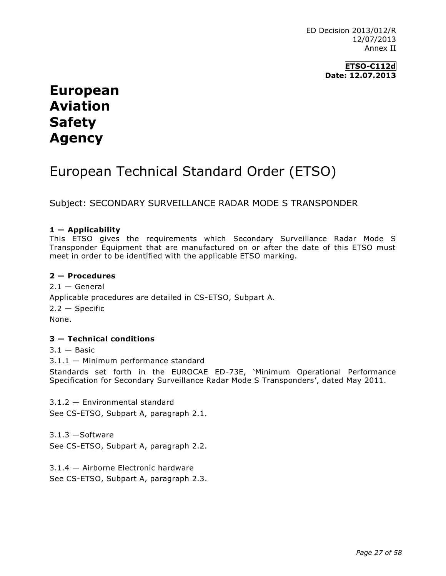ED Decision 2013/012/R 12/07/2013 Annex II

> **ETSO-C112d Date: 12.07.2013**

# **European Aviation Safety Agency**

# European Technical Standard Order (ETSO)

Subject: SECONDARY SURVEILLANCE RADAR MODE S TRANSPONDER

## **1 — Applicability**

This ETSO gives the requirements which Secondary Surveillance Radar Mode S Transponder Equipment that are manufactured on or after the date of this ETSO must meet in order to be identified with the applicable ETSO marking.

### **2 — Procedures**

 $2.1 -$  General Applicable procedures are detailed in CS-ETSO, Subpart A.  $2.2 -$ Specific None.

### **3 — Technical conditions**

 $3.1 -$ Basic

3.1.1 — Minimum performance standard

Standards set forth in the EUROCAE ED-73E, 'Minimum Operational Performance Specification for Secondary Surveillance Radar Mode S Transponders', dated May 2011.

3.1.2 — Environmental standard See CS-ETSO, Subpart A, paragraph 2.1.

3.1.3 —Software See CS-ETSO, Subpart A, paragraph 2.2.

3.1.4 — Airborne Electronic hardware See CS-ETSO, Subpart A, paragraph 2.3.